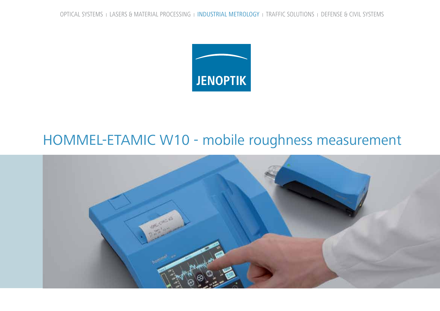

## HOMMEL-ETAMIC W10 - mobile roughness measurement

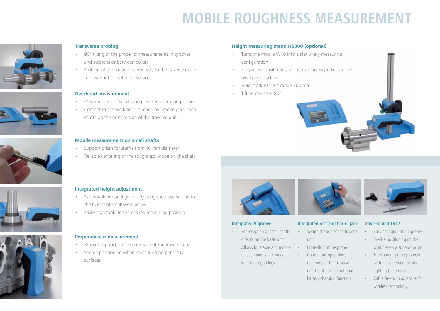# **Mobile ROUGHNESS MEASUREMENT**





- • 90° tilting of the probe for measurements in grooves and incisions or between collars
- Probing of the surface transversely to the traverse direction without complex conversion

#### **Overhead measurement**

- Measurement of small workpieces in overhead position
- Contact to the workpiece is made by precisely polished shafts on the bottom side of the traverse unit

#### **Mobile measurement on small shafts**

- Support prism for shafts from 10 mm diameter
- Reliable centering of the roughness probe on the shaft

#### **Height measuring stand HS300 (optional)**

- Turns the mobile W10 into a stationary measuring configuration
- For precise positioning of the roughness probe on the workpiece surface
- Height adjustment range 300 mm
- Tilting device ±180°







#### **Integrated height adjustment**

- Extendable tripod legs for adjusting the traverse unit to the height of small workpieces
- Easily adaptable to the desired measuring position

#### **Perpendicular measurement**

- 3-point support on the back side of the traverse unit
- Secure positioning when measuring perpendicular surfaces



#### **Integrated V groove**

- For reception of small shafts directly on the basic unit
- Allows for stable and mobile measurements in connection with the tripod legs



#### **Integrated rest and barrel jack**

- Secure storage of the traverse unit
- Protection of the probe
	- Continuous operational readiness of the traverse unit thanks to the automatic
	- battery charging function



### **Traverse unit LV17**

- Easy changing of the probes
- Precise positioning on the workpiece via support prism
- Transparent probe protection with measurement position lighting (patented)
- Cable-free with *Bluetooth*® wireless technology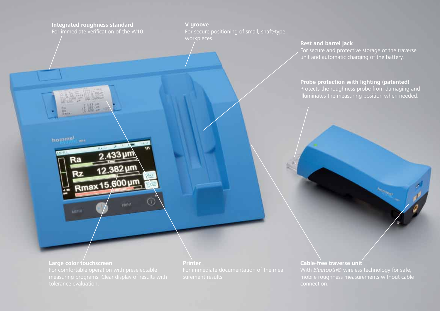#### **Integrated roughness standard** For immediate verification of the W10.

**V groove** For secure positioning of small, shaft-type workpieces.

#### **Rest and barrel jack**

For secure and protective storage of the traverse unit and automatic charging of the battery.

#### **Probe protection with lighting (patented)** Protects the roughness probe from damaging and

illuminates the measuring position when needed.

#### **Large color touchscreen**

homme!

12.382 µm

**FIGURE** 

Rmax 15.800 µm

#### **Cable-free traverse unit** With *Bluetooth®* wireless technology for safe, mobile roughness measurements without cable connection.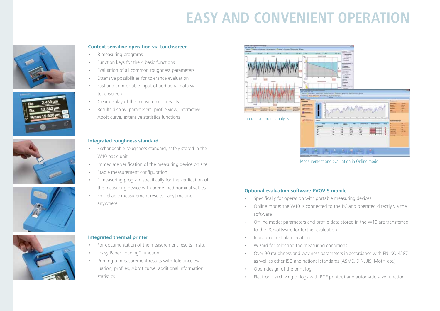# **eASY AND CONVENIENT OPERATION**











#### **Context sensitive operation via touchscreen**

- 8 measuring programs
- Function keys for the 4 basic functions
- Evaluation of all common roughness parameters
- Extensive possibilities for tolerance evaluation
- Fast and comfortable input of additional data via touchscreen
- Clear display of the measurement results
- Results display: parameters, profile view, interactive Abott curve, extensive statistics functions

#### **Integrated roughness standard**

- Exchangeable roughness standard, safely stored in the W10 basic unit
- Immediate verification of the measuring device on site
- Stable measurement configuration
- 1 measuring program specifically for the verification of the measuring device with predefined nominal values
- For reliable measurement results anytime and anywhere

#### **Integrated thermal printer**

- For documentation of the measurement results in situ
- "Easy Paper Loading" function
- Printing of measurement results with tolerance evaluation, profiles, Abott curve, additional information, statistics



Measurement and evaluation in Online mode

#### **Optional evaluation software EVOVIS mobile**

- Specifically for operation with portable measuring devices
- Online mode: the W10 is connected to the PC and operated directly via the software
- • Offline mode: parameters and profile data stored in the W10 are transferred to the PC/software for further evaluation
- Individual test plan creation
- Wizard for selecting the measuring conditions
- • Over 90 roughness and waviness parameters in accordance with EN ISO 4287 as well as other ISO and national standards (ASME, DIN, JIS, Motif, etc.)
- Open design of the print log
- Electronic archiving of logs with PDF printout and automatic save function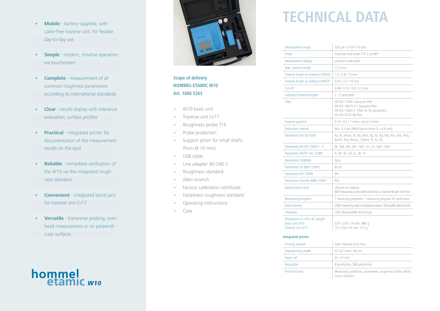- **• Mobile** battery-supplied, with cable-free traverse unit, for flexible day-to-day use
- **• Simple** modern, intuitive operation via touchscreen
- **• Complete** measurement of all common roughness parameters according to international standards
- **• Clear** results display with tolerance evaluation, surface profiles
- **• Practical** integrated printer for documentation of the measurement results on the spot
- **• Reliable** immediate verification of the W10 via the integrated rough ness standard
- **• Convenient** integrated barrel jack for traverse unit LV17
- Versatile transverse probing, overhead measurement or on perpendi cular surfaces

# hommel<br>etamic <sub>*w10*</sub>



### **Scope of delivery HOMMEL-ETAMIC W10 Art. 1006 5263**

- • W10 basic unit
- Traverse unit LV17
- • Roughness probe T1E
- Probe protection
- Support prism for small shafts (from  $\varnothing$  10 mm)
- • USB cable
- • Line adapter 90-240 V
- Roughness standard
- Allen wrench
- Factory calibration certificate
- Datasheet roughness standard
- Operating instructions
- Case

# **TechniCAL DATA**

| Measurement range                                                      | 320 µm (-210/+110 µm)                                                                                                                            |  |
|------------------------------------------------------------------------|--------------------------------------------------------------------------------------------------------------------------------------------------|--|
| Probe                                                                  | Inductive skid probe T1E 2 µm/90°                                                                                                                |  |
| Measurement display                                                    | um/uinch selectable                                                                                                                              |  |
| Max. traverse length                                                   | 17.5 mm                                                                                                                                          |  |
| Traverse length according to ISO/JIS                                   | $1.5/4.8/15$ mm                                                                                                                                  |  |
| Traverse length according to MOTIF                                     | $0.64 / 3.2 / 16$ mm                                                                                                                             |  |
| Cut-off                                                                | $0.08 / 0.25 / 0.8 / 2.5$ mm                                                                                                                     |  |
| Individual traverse lengths                                            | 1 - 5 selectable                                                                                                                                 |  |
| Filter                                                                 | EN ISO 11562: Gaussian filter<br>EN ISO 16610-21: Gaussian filter<br>EN ISO 13565-1: Filter for Rk parameters<br>EN ISO 3274: $\lambda$ s filter |  |
| Traverse speed vt                                                      | 0.15 / 0.5 / 1 mm/s; return 3 mm/s                                                                                                               |  |
| Data point interval                                                    | Min. 0.5 $\mu$ m (9600 points when $lt = 4.8$ mm)                                                                                                |  |
| Parameters EN ISO 4287                                                 | Ra, Rz, Rmax, Rt, Rg, RSm, Rp, Rv, Rg, Rsk, Rku, Rdc, Rdg,<br>RzISO, Rmr, Rmr(c), C(Rmr), Pt, Pz, Pa                                             |  |
| Parameters EN ISO 13565-1, -2                                          | Rk. Rpk, Rvk, Mr1, Mr2, A1, A2, Rpk*, Rvk*                                                                                                       |  |
| Parameters MOTIF ISO 12085                                             | R, AR, Rx, CR, CL, Nr, CF                                                                                                                        |  |
| Parameters ASMB46                                                      | Rpm                                                                                                                                              |  |
| Parameters JIS B601 (2001)                                             | $Rz-JIS$                                                                                                                                         |  |
| Parameters EN 10049                                                    | RPc                                                                                                                                              |  |
| Parameters Daimler MBN 31007                                           | R3z                                                                                                                                              |  |
| Battery (basic unit)                                                   | Lithium-ion battery,<br>800 measuring cycles (without printout, traverse length 4.8 mm)                                                          |  |
| <b>Measuring programs</b>                                              | 7 measuring programs, 1 measuring program for verification                                                                                       |  |
| Data memory                                                            | 2000 measuring data records/parameters, 500 profile data records                                                                                 |  |
| Interfaces                                                             | USB, Bluetooth® technology                                                                                                                       |  |
| Dimensions (L x W x H), weight<br>Basic unit W10<br>Traverse unit LV17 | 224 x 226 x 70 mm, 980 g<br>151 x 50 x 55 mm, 275 g                                                                                              |  |
| <b>Integrated printer</b>                                              |                                                                                                                                                  |  |
| a produced to the contract of the                                      | Concepts who should be observed the                                                                                                              |  |

| Printing method        | Static thermal print lines                                                      |  |
|------------------------|---------------------------------------------------------------------------------|--|
| Paper/printing width   | $57 \pm 0.5$ mm / 48 mm                                                         |  |
| Paper roll             | $\varnothing = 31$ mm                                                           |  |
| <b>Resolution</b>      | 8 points/mm, 384 points/line                                                    |  |
| <b>Print functions</b> | Measuring conditions, parameters, roughness profile, Abott<br>curve, statistics |  |